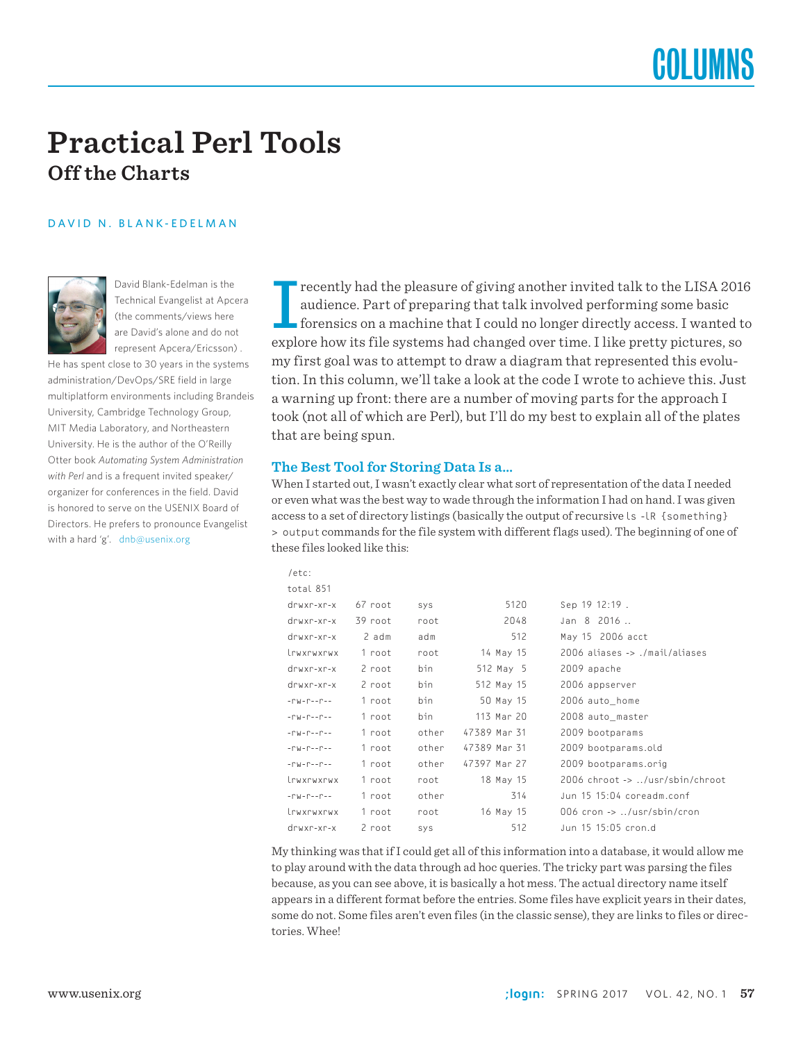## **Practical Perl Tools Off the Charts**

#### DAVID N. BLANK-EDELMAN



David Blank-Edelman is the Technical Evangelist at Apcera (the comments/views here are David's alone and do not represent Apcera/Ericsson) .

He has spent close to 30 years in the systems administration/DevOps/SRE field in large multiplatform environments including Brandeis University, Cambridge Technology Group, MIT Media Laboratory, and Northeastern University. He is the author of the O'Reilly Otter book *Automating System Administration with Perl* and is a frequent invited speaker/ organizer for conferences in the field. David is honored to serve on the USENIX Board of Directors. He prefers to pronounce Evangelist with a hard 'g'. dnb@usenix.org

I recently had the pleasure of giving another invited talk to the LISA 2016 audience. Part of preparing that talk involved performing some basic forensics on a machine that I could no longer directly access. I wanted to explore how its file systems had changed over time. I like pretty pictures, so my first goal was to attempt to draw a diagram that represented this evolution. In this column, we'll take a look at the code I wrote to achieve this. Just a warning up front: there are a number of moving parts for the approach I took (not all of which are Perl), but I'll do my best to explain all of the plates that are being spun.

#### **The Best Tool for Storing Data Is a…**

When I started out, I wasn't exactly clear what sort of representation of the data I needed or even what was the best way to wade through the information I had on hand. I was given access to a set of directory listings (basically the output of recursive ls -lR {something} > output commands for the file system with different flags used). The beginning of one of these files looked like this:

| /etc:                                   |         |       |              |                                                        |
|-----------------------------------------|---------|-------|--------------|--------------------------------------------------------|
| total 851                               |         |       |              |                                                        |
| drwxr-xr-x                              | 67 root | SYS   | 5120         | Sep 19 12:19.                                          |
| $d$ rwxr-xr-x                           | 39 root | root  | 2048         | Jan 8 2016                                             |
| drwxr-xr-x                              | 2 adm   | adm   | 512          | May 15 2006 acct                                       |
| trwxrwxrwx                              | 1 root  | root  | 14 May 15    | 2006 aliases -> ./mail/aliases                         |
| drwxr-xr-x                              | 2 root  | bin   | 512 May 5    | 2009 apache                                            |
| drwxr-xr-x                              | 2 root  | bin   | 512 May 15   | 2006 appserver                                         |
| $-10V - 10V - 10V - 10V$                | 1 root  | bin   | 50 May 15    | 2006 auto_home                                         |
| $-10V - 10V - 10V - 10V$                | 1 root  | bin   | 113 Mar 20   | 2008 auto_master                                       |
| $-10V - 10V - 10V - 10V$                | 1 root  | other | 47389 Mar 31 | 2009 bootparams                                        |
| $-10V - 10V - 10V - 10V$                | 1 root  | other | 47389 Mar 31 | 2009 bootparams.old                                    |
| $-1 - 1 - 1 - 1 - 1$                    | 1 root  | other | 47397 Mar 27 | 2009 bootparams.orig                                   |
| lrwxrwxrwx                              | 1 root  | root  | 18 May 15    | 2006 chroot -> /usr/sbin/chroot                        |
| $ \Gamma W$ - $\Gamma$ - - $\Gamma$ - - | 1 root  | other | 314          | Jun 15 15:04 coreadm.conf                              |
| trwxrwxrwx                              | 1 root  | root  | 16 May 15    | 006 $\text{cron} \rightarrow$ /usr/sbin/ $\text{cron}$ |
| $drwxr-xr-x$                            | 2 root  | SYS   | 512          | Jun 15 15:05 cron.d                                    |

My thinking was that if I could get all of this information into a database, it would allow me to play around with the data through ad hoc queries. The tricky part was parsing the files because, as you can see above, it is basically a hot mess. The actual directory name itself appears in a different format before the entries. Some files have explicit years in their dates, some do not. Some files aren't even files (in the classic sense), they are links to files or directories. Whee!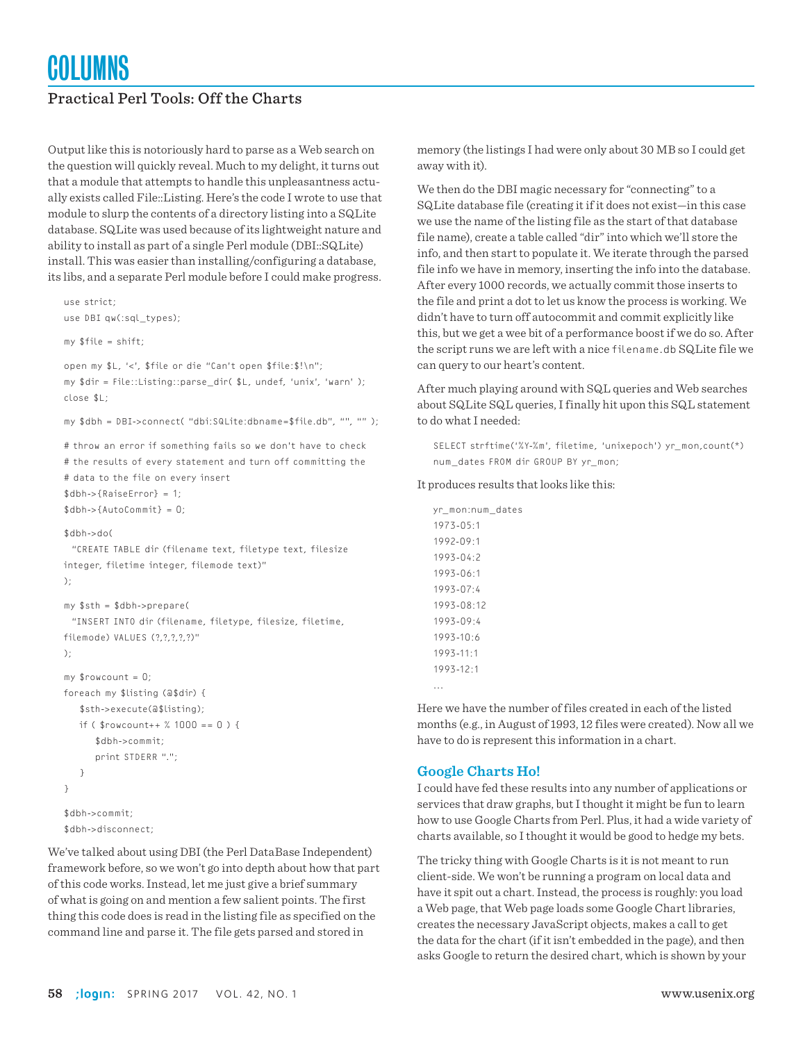## Practical Perl Tools: Off the Charts

Output like this is notoriously hard to parse as a Web search on the question will quickly reveal. Much to my delight, it turns out that a module that attempts to handle this unpleasantness actually exists called File::Listing. Here's the code I wrote to use that module to slurp the contents of a directory listing into a SQLite database. SQLite was used because of its lightweight nature and ability to install as part of a single Perl module (DBI::SQLite) install. This was easier than installing/configuring a database, its libs, and a separate Perl module before I could make progress.

```
use strict;
use DBI qw(:sql_types);
```
my \$file = shift;

open my \$L, '<', \$file or die "Can't open \$file:\$!\n"; my \$dir = File::Listing::parse\_dir( \$L, undef, 'unix', 'warn' ); close \$L;

my \$dbh = DBI->connect( "dbi:SQLite:dbname=\$file.db", "", "" );

# throw an error if something fails so we don't have to check # the results of every statement and turn off committing the # data to the file on every insert \$dbh->{RaiseError} = 1;  $$dbh->{AutoCommit} = 0;$ 

\$dbh->do(

 "CREATE TABLE dir (filename text, filetype text, filesize integer, filetime integer, filemode text)" );

```
my $sth = $dbh->prepare(
```
 "INSERT INTO dir (filename, filetype, filesize, filetime, filemode) VALUES (?????)"

```
);
```

```
my $rowcount = 0;
foreach my $listing (@$dir) {
    $sth->execute(@$listing);
   if ($rowcount++ % 1000 == 0) {
       $dbh->commit;
       print STDERR ".";
    }
}
```

```
$dbh->commit;
$dbh->disconnect;
```
We've talked about using DBI (the Perl DataBase Independent) framework before, so we won't go into depth about how that part of this code works. Instead, let me just give a brief summary of what is going on and mention a few salient points. The first thing this code does is read in the listing file as specified on the command line and parse it. The file gets parsed and stored in

memory (the listings I had were only about 30 MB so I could get away with it).

We then do the DBI magic necessary for "connecting" to a SQLite database file (creating it if it does not exist—in this case we use the name of the listing file as the start of that database file name), create a table called "dir" into which we'll store the info, and then start to populate it. We iterate through the parsed file info we have in memory, inserting the info into the database. After every 1000 records, we actually commit those inserts to the file and print a dot to let us know the process is working. We didn't have to turn off autocommit and commit explicitly like this, but we get a wee bit of a performance boost if we do so. After the script runs we are left with a nice filename.db SQLite file we can query to our heart's content.

After much playing around with SQL queries and Web searches about SQLite SQL queries, I finally hit upon this SQL statement to do what I needed:

SELECT strftime('%Y-%m', filetime, 'unixepoch') yr\_mon,count(\*) num\_dates FROM dir GROUP BY yr\_mon;

It produces results that looks like this:

yr\_mon:num\_dates 1973-05:1 1992-09:1  $1993 - 04.2$ 1993-06:1 1993-07:4 1993-08:12 1993-09:4 1993-10:6 1993-11:1 1993-12:1 ...

Here we have the number of files created in each of the listed months (e.g., in August of 1993, 12 files were created). Now all we have to do is represent this information in a chart.

#### **Google Charts Ho!**

I could have fed these results into any number of applications or services that draw graphs, but I thought it might be fun to learn how to use Google Charts from Perl. Plus, it had a wide variety of charts available, so I thought it would be good to hedge my bets.

The tricky thing with Google Charts is it is not meant to run client-side. We won't be running a program on local data and have it spit out a chart. Instead, the process is roughly: you load a Web page, that Web page loads some Google Chart libraries, creates the necessary JavaScript objects, makes a call to get the data for the chart (if it isn't embedded in the page), and then asks Google to return the desired chart, which is shown by your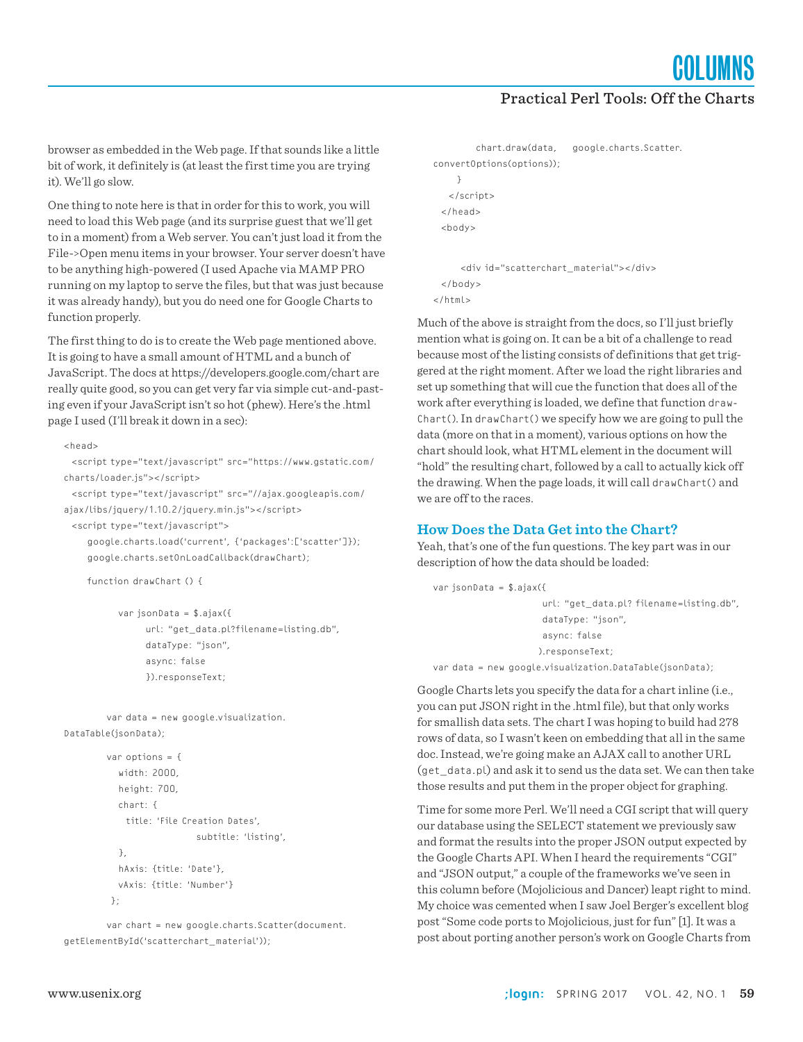**COLUMNS** 

## Practical Perl Tools: Off the Charts

browser as embedded in the Web page. If that sounds like a little bit of work, it definitely is (at least the first time you are trying it). We'll go slow.

One thing to note here is that in order for this to work, you will need to load this Web page (and its surprise guest that we'll get to in a moment) from a Web server. You can't just load it from the File->Open menu items in your browser. Your server doesn't have to be anything high-powered (I used Apache via MAMP PRO running on my laptop to serve the files, but that was just because it was already handy), but you do need one for Google Charts to function properly.

The first thing to do is to create the Web page mentioned above. It is going to have a small amount of HTML and a bunch of JavaScript. The docs at https://developers.google.com/chart are really quite good, so you can get very far via simple cut-and-pasting even if your JavaScript isn't so hot (phew). Here's the .html page I used (I'll break it down in a sec):

#### <head>

```
 <script type="text/javascript" src="https://www.gstatic.com/
charts/loader.js"></script>
```
 <script type="text/javascript" src="//ajax.googleapis.com/ ajax/libs/jquery/1.10.2/jquery.min.js"></script>

<script type="text/javascript">

 google.charts.load('current', {'packages':['scatter']}); google.charts.setOnLoadCallback(drawChart);

```
 function drawChart () {
```
 var jsonData = \$.ajax({ url: "get\_data.pl?filename=listing.db", dataType: "json", async: false }).responseText;

 var data = new google.visualization. DataTable(jsonData);

```
 var options = {
   width: 2000,
   height: 700,
   chart: {
     title: 'File Creation Dates',
                     subtitle: 'listing',
   },
   hAxis: {title: 'Date'},
   vAxis: {title: 'Number'}
 };
```
 var chart = new google.charts.Scatter(document. getElementById('scatterchart\_material'));

```
 chart.draw(data, google.charts.Scatter.
convertOptions(options));
     }
   </script>
  </head>
  <body>
      <div id="scatterchart_material"></div>
  </body>
</html>
```
Much of the above is straight from the docs, so I'll just briefly mention what is going on. It can be a bit of a challenge to read because most of the listing consists of definitions that get triggered at the right moment. After we load the right libraries and set up something that will cue the function that does all of the work after everything is loaded, we define that function draw-Chart(). In drawChart() we specify how we are going to pull the data (more on that in a moment), various options on how the chart should look, what HTML element in the document will "hold" the resulting chart, followed by a call to actually kick off the drawing. When the page loads, it will call drawChart() and we are off to the races.

#### **How Does the Data Get into the Chart?**

Yeah, that's one of the fun questions. The key part was in our description of how the data should be loaded:

```
var jsonData = $.ajax({
                       url: "get_data.pl? filename=listing.db",
                       dataType: "json",
                       async: false
                      ).responseText;
var data = new google.visualization.DataTable(jsonData);
```
Google Charts lets you specify the data for a chart inline (i.e., you can put JSON right in the .html file), but that only works for smallish data sets. The chart I was hoping to build had 278 rows of data, so I wasn't keen on embedding that all in the same doc. Instead, we're going make an AJAX call to another URL (get\_data.pl) and ask it to send us the data set. We can then take those results and put them in the proper object for graphing.

Time for some more Perl. We'll need a CGI script that will query our database using the SELECT statement we previously saw and format the results into the proper JSON output expected by the Google Charts API. When I heard the requirements "CGI" and "JSON output," a couple of the frameworks we've seen in this column before (Mojolicious and Dancer) leapt right to mind. My choice was cemented when I saw Joel Berger's excellent blog post "Some code ports to Mojolicious, just for fun" [1]. It was a post about porting another person's work on Google Charts from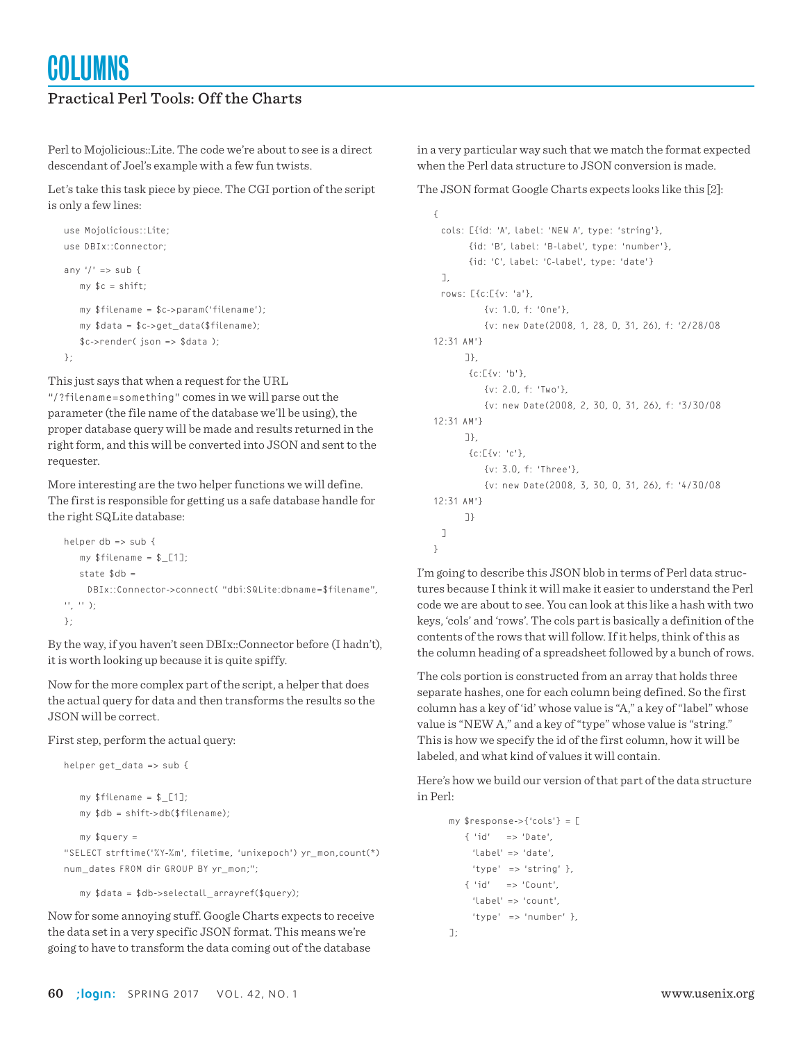## Practical Perl Tools: Off the Charts

Perl to Mojolicious::Lite. The code we're about to see is a direct descendant of Joel's example with a few fun twists.

Let's take this task piece by piece. The CGI portion of the script is only a few lines:

```
use Mojolicious::Lite;
use DBIx::Connector;
any ' => sub {
    my $c = shift;
    my $filename = $c->param('filename');
    my $data = $c->get_data($filename);
    $c->render( json => $data );
};
```
This just says that when a request for the URL

"/?filename=something" comes in we will parse out the parameter (the file name of the database we'll be using), the proper database query will be made and results returned in the right form, and this will be converted into JSON and sent to the requester.

More interesting are the two helper functions we will define. The first is responsible for getting us a safe database handle for the right SQLite database:

```
helper db => sub {
   my $filename = $ [1];state $dh = DBIx::Connector->connect( "dbi:SQLite:dbname=$filename", 
'', '' );
};
```
By the way, if you haven't seen DBIx::Connector before (I hadn't), it is worth looking up because it is quite spiffy.

Now for the more complex part of the script, a helper that does the actual query for data and then transforms the results so the JSON will be correct.

First step, perform the actual query:

```
helper get data => sub {
   my $filename = $ [1]; my $db = shift->db($filename);
   my squery =
```
"SELECT strftime('%Y-%m', filetime, 'unixepoch') yr\_mon,count(\*) num\_dates FROM dir GROUP BY yr\_mon;";

my \$data = \$db->selectall\_arrayref(\$query);

Now for some annoying stuff. Google Charts expects to receive the data set in a very specific JSON format. This means we're going to have to transform the data coming out of the database

in a very particular way such that we match the format expected when the Perl data structure to JSON conversion is made.

The JSON format Google Charts expects looks like this [2]:

```
{
  cols: [{id: 'A', label: 'NEW A', type: 'string'},
        {id: 'B', label: 'B-label', type: 'number'},
         {id: 'C', label: 'C-label', type: 'date'}
 \overline{1} rows: [{c:[{v: 'a'},
            {v: 1.0, f: 'One'},
            {v: new Date(2008, 1, 28, 0, 31, 26), f: '2/28/08 
12:31 AM'}
       ]},
        {c:[{v: 'b'},
            {v: 2.0, f: 'Two'},
            {v: new Date(2008, 2, 30, 0, 31, 26), f: '3/30/08 
12:31 AM'}
       ]},
        {c:[{v: 'c'},
            {v: 3.0, f: 'Three'},
            {v: new Date(2008, 3, 30, 0, 31, 26), f: '4/30/08 
12:31 AM'}
       ]}
  ]
}
```
I'm going to describe this JSON blob in terms of Perl data structures because I think it will make it easier to understand the Perl code we are about to see. You can look at this like a hash with two keys, 'cols' and 'rows'. The cols part is basically a definition of the contents of the rows that will follow. If it helps, think of this as the column heading of a spreadsheet followed by a bunch of rows.

The cols portion is constructed from an array that holds three separate hashes, one for each column being defined. So the first column has a key of 'id' whose value is "A," a key of "label" whose value is "NEW A," and a key of "type" whose value is "string." This is how we specify the id of the first column, how it will be labeled, and what kind of values it will contain.

Here's how we build our version of that part of the data structure in Perl:

```
 my $response->{'cols'} = [
    { 'id' => 'Date', 
     'label' => 'date',
      'type' => 'string' },
    { 'id' => 'Count', 
      'label' => 'count', 
      'type' => 'number' },
 ];
```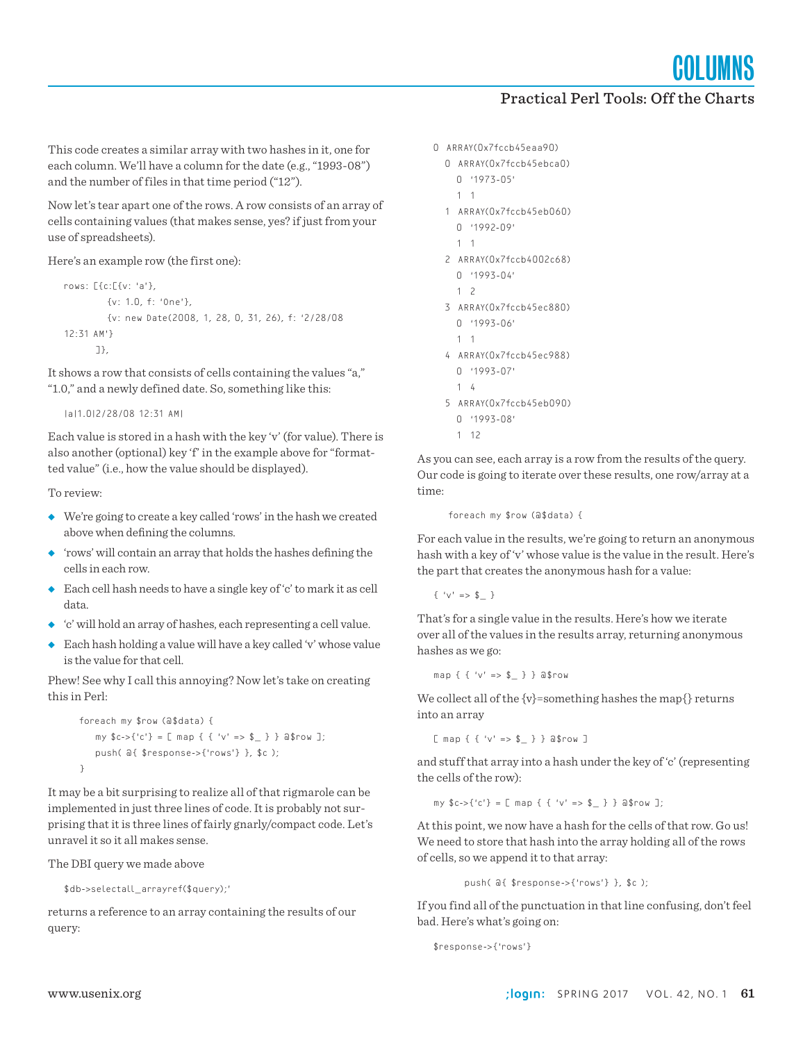**COLUMNS** 

### Practical Perl Tools: Off the Charts

This code creates a similar array with two hashes in it, one for each column. We'll have a column for the date (e.g., "1993-08") and the number of files in that time period ("12").

Now let's tear apart one of the rows. A row consists of an array of cells containing values (that makes sense, yes? if just from your use of spreadsheets).

Here's an example row (the first one):

```
rows: [{c:[{v: 'a'},
          {v: 1.0, f: 'One'},
          {v: new Date(2008, 1, 28, 0, 31, 26), f: '2/28/08 
12:31 AM'}
        ]},
```
It shows a row that consists of cells containing the values "a," "1.0," and a newly defined date. So, something like this:

|a|1.0|2/28/08 12:31 AM|

Each value is stored in a hash with the key 'v' (for value). There is also another (optional) key 'f' in the example above for "formatted value" (i.e., how the value should be displayed).

To review:

- ◆ We're going to create a key called 'rows' in the hash we created above when defining the columns.
- ◆ 'rows' will contain an array that holds the hashes defining the cells in each row.
- ◆ Each cell hash needs to have a single key of 'c' to mark it as cell data.
- ◆ 'c' will hold an array of hashes, each representing a cell value.
- ◆ Each hash holding a value will have a key called 'v' whose value is the value for that cell.

Phew! See why I call this annoying? Now let's take on creating this in Perl:

```
 foreach my $row (@$data) {
    my c \rightarrow \{ 'c' \} = [ map \{ \{ 'v' \Rightarrow $ \} \} a$row ];
     push( @{ $response->{'rows'} }, $c );
 }
```
It may be a bit surprising to realize all of that rigmarole can be implemented in just three lines of code. It is probably not surprising that it is three lines of fairly gnarly/compact code. Let's unravel it so it all makes sense.

The DBI query we made above

\$db->selectall\_arrayref(\$query);'

returns a reference to an array containing the results of our query:

```
0 ARRAY(0x7fccb45eaa90)
   0 ARRAY(0x7fccb45ebca0)
     0 '1973-05'
     1 1
   1 ARRAY(0x7fccb45eb060)
     0 '1992-09'
     1 1
   2 ARRAY(0x7fccb4002c68)
     0 '1993-04'
     1 2
   3 ARRAY(0x7fccb45ec880)
     0 '1993-06'
     1 1
   4 ARRAY(0x7fccb45ec988)
     0 '1993-07'
     1 4
   5 ARRAY(0x7fccb45eb090)
     0 '1993-08'
```
1 12

As you can see, each array is a row from the results of the query. Our code is going to iterate over these results, one row/array at a time:

foreach my \$row (@\$data) {

For each value in the results, we're going to return an anonymous hash with a key of 'v' whose value is the value in the result. Here's the part that creates the anonymous hash for a value:

 $\{ 'v' \implies $_ \_ \}$ 

That's for a single value in the results. Here's how we iterate over all of the values in the results array, returning anonymous hashes as we go:

map { { 'v' => \$\_ } } @\$row

We collect all of the  $\{v\}$ =something hashes the map $\{\}$  returns into an array

 $[$  map { { 'v' => \$ } } a\$row ]

and stuff that array into a hash under the key of 'c' (representing the cells of the row):

my  $c \rightarrow \{ 'c' \} = [$  map  $\{ \{ 'v' \Rightarrow $ \_ \} \}$  a\$row ];

At this point, we now have a hash for the cells of that row. Go us! We need to store that hash into the array holding all of the rows of cells, so we append it to that array:

push( @{ \$response->{'rows'} }, \$c );

If you find all of the punctuation in that line confusing, don't feel bad. Here's what's going on:

```
$response->{'rows'}
```